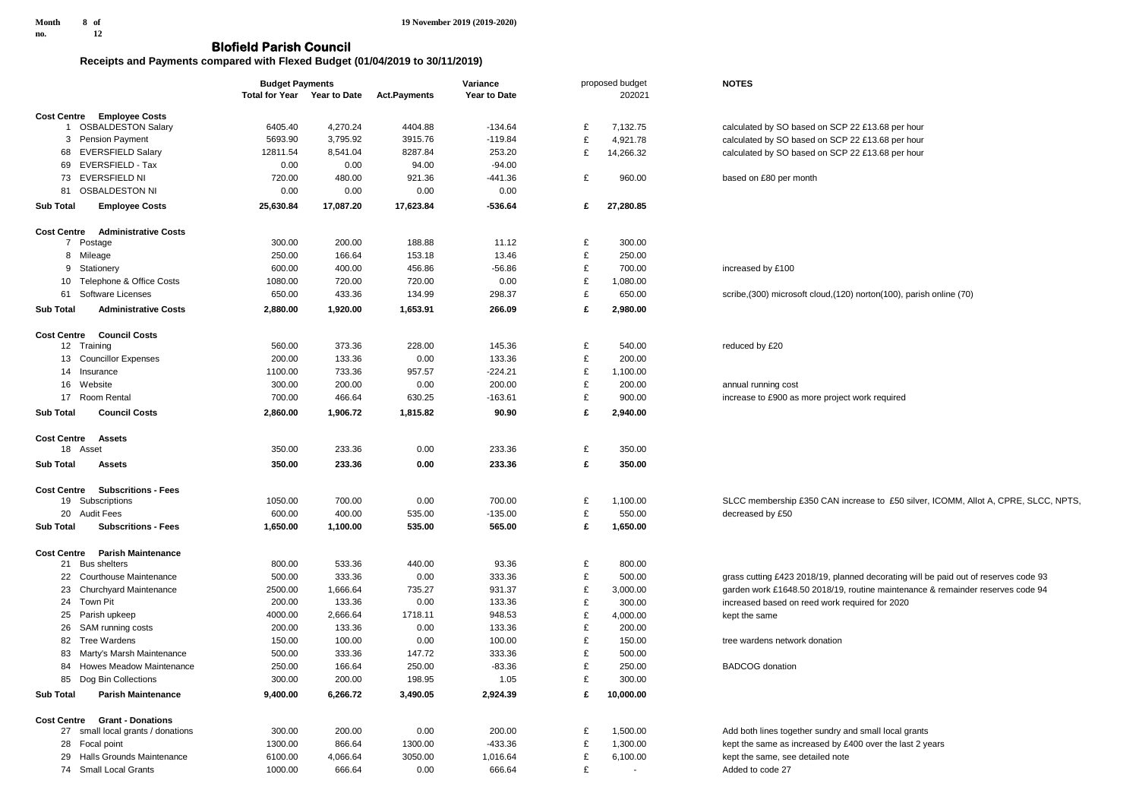**19 November 2019 (2019-2020)**

## **Blofield Parish Council**

## **Receipts and Payments compared with Flexed Budget (01/04/2019 to 30/11/2019)**

|                    |                                   | <b>Budget Payments</b>      |           | Variance            |              | proposed budget |           | <b>NOTES</b>                                                                        |  |
|--------------------|-----------------------------------|-----------------------------|-----------|---------------------|--------------|-----------------|-----------|-------------------------------------------------------------------------------------|--|
|                    |                                   | Total for Year Year to Date |           | <b>Act.Payments</b> | Year to Date |                 | 202021    |                                                                                     |  |
|                    | <b>Cost Centre Employee Costs</b> |                             |           |                     |              |                 |           |                                                                                     |  |
|                    | 1 OSBALDESTON Salary              | 6405.40                     | 4,270.24  | 4404.88             | $-134.64$    | £               | 7,132.75  | calculated by SO based on SCP 22 £13.68 per hour                                    |  |
|                    | 3 Pension Payment                 | 5693.90                     | 3,795.92  | 3915.76             | $-119.84$    | £               | 4,921.78  | calculated by SO based on SCP 22 £13.68 per hour                                    |  |
| 68                 | <b>EVERSFIELD Salary</b>          | 12811.54                    | 8,541.04  | 8287.84             | 253.20       | £               | 14,266.32 | calculated by SO based on SCP 22 £13.68 per hour                                    |  |
| 69                 | EVERSFIELD - Tax                  | 0.00                        | 0.00      | 94.00               | $-94.00$     |                 |           |                                                                                     |  |
|                    | 73 EVERSFIELD NI                  | 720.00                      | 480.00    | 921.36              | $-441.36$    | £               | 960.00    | based on £80 per month                                                              |  |
| 81                 | <b>OSBALDESTON NI</b>             | 0.00                        | 0.00      | 0.00                | 0.00         |                 |           |                                                                                     |  |
|                    |                                   |                             |           |                     |              |                 |           |                                                                                     |  |
| <b>Sub Total</b>   | <b>Employee Costs</b>             | 25,630.84                   | 17,087.20 | 17,623.84           | $-536.64$    | £               | 27,280.85 |                                                                                     |  |
| <b>Cost Centre</b> | <b>Administrative Costs</b>       |                             |           |                     |              |                 |           |                                                                                     |  |
|                    | 7 Postage                         | 300.00                      | 200.00    | 188.88              | 11.12        | £               | 300.00    |                                                                                     |  |
|                    | 8 Mileage                         | 250.00                      | 166.64    | 153.18              | 13.46        | £               | 250.00    |                                                                                     |  |
| 9                  | Stationery                        | 600.00                      | 400.00    | 456.86              | $-56.86$     | £               | 700.00    | increased by £100                                                                   |  |
|                    | 10 Telephone & Office Costs       | 1080.00                     | 720.00    | 720.00              | 0.00         | £               | 1,080.00  |                                                                                     |  |
|                    | 61 Software Licenses              | 650.00                      | 433.36    | 134.99              | 298.37       | £               | 650.00    | scribe, (300) microsoft cloud, (120) norton(100), parish online (70)                |  |
|                    |                                   |                             |           |                     |              |                 |           |                                                                                     |  |
| <b>Sub Total</b>   | <b>Administrative Costs</b>       | 2,880.00                    | 1,920.00  | 1,653.91            | 266.09       | £               | 2,980.00  |                                                                                     |  |
| <b>Cost Centre</b> | <b>Council Costs</b>              |                             |           |                     |              |                 |           |                                                                                     |  |
|                    | 12 Training                       | 560.00                      | 373.36    | 228.00              | 145.36       | £               | 540.00    | reduced by £20                                                                      |  |
|                    | 13 Councillor Expenses            | 200.00                      | 133.36    | 0.00                | 133.36       | £               | 200.00    |                                                                                     |  |
|                    |                                   | 1100.00                     | 733.36    | 957.57              | $-224.21$    | £               | 1,100.00  |                                                                                     |  |
|                    | 14 Insurance                      |                             |           |                     |              | £               |           |                                                                                     |  |
|                    | 16 Website                        | 300.00                      | 200.00    | 0.00                | 200.00       |                 | 200.00    | annual running cost                                                                 |  |
| 17                 | Room Rental                       | 700.00                      | 466.64    | 630.25              | $-163.61$    | £               | 900.00    | increase to £900 as more project work required                                      |  |
| <b>Sub Total</b>   | <b>Council Costs</b>              | 2,860.00                    | 1,906.72  | 1,815.82            | 90.90        | £               | 2,940.00  |                                                                                     |  |
|                    |                                   |                             |           |                     |              |                 |           |                                                                                     |  |
| <b>Cost Centre</b> | <b>Assets</b><br>18 Asset         | 350.00                      | 233.36    | 0.00                | 233.36       | £               | 350.00    |                                                                                     |  |
|                    |                                   |                             |           |                     |              |                 |           |                                                                                     |  |
| <b>Sub Total</b>   | <b>Assets</b>                     | 350.00                      | 233.36    | 0.00                | 233.36       | £               | 350.00    |                                                                                     |  |
| <b>Cost Centre</b> | <b>Subscritions - Fees</b>        |                             |           |                     |              |                 |           |                                                                                     |  |
|                    | 19 Subscriptions                  | 1050.00                     | 700.00    | 0.00                | 700.00       | £               | 1,100.00  | SLCC membership £350 CAN increase to £50 silver, ICOMM, Allot A, CPRE, SLCC, NPTS,  |  |
|                    | 20 Audit Fees                     | 600.00                      | 400.00    | 535.00              | $-135.00$    | £               | 550.00    | decreased by £50                                                                    |  |
| <b>Sub Total</b>   | <b>Subscritions - Fees</b>        | 1,650.00                    | 1,100.00  | 535.00              | 565.00       | £               | 1,650.00  |                                                                                     |  |
|                    |                                   |                             |           |                     |              |                 |           |                                                                                     |  |
| <b>Cost Centre</b> | <b>Parish Maintenance</b>         |                             |           |                     |              |                 |           |                                                                                     |  |
|                    | 21 Bus shelters                   | 800.00                      | 533.36    | 440.00              | 93.36        | £               | 800.00    |                                                                                     |  |
|                    | 22 Courthouse Maintenance         | 500.00                      | 333.36    | 0.00                | 333.36       | £               | 500.00    | grass cutting £423 2018/19, planned decorating will be paid out of reserves code 93 |  |
| 23                 | <b>Churchyard Maintenance</b>     | 2500.00                     | 1,666.64  | 735.27              | 931.37       | £               | 3,000.00  | garden work £1648.50 2018/19, routine maintenance & remainder reserves code 94      |  |
|                    | 24 Town Pit                       | 200.00                      | 133.36    | 0.00                | 133.36       | £               | 300.00    | increased based on reed work required for 2020                                      |  |
|                    | 25 Parish upkeep                  | 4000.00                     | 2,666.64  | 1718.11             | 948.53       | £               | 4,000.00  | kept the same                                                                       |  |
| 26                 | SAM running costs                 | 200.00                      | 133.36    | 0.00                | 133.36       | £               | 200.00    |                                                                                     |  |
|                    |                                   |                             |           |                     |              | £               |           |                                                                                     |  |
| 82                 | <b>Tree Wardens</b>               | 150.00                      | 100.00    | 0.00                | 100.00       |                 | 150.00    | tree wardens network donation                                                       |  |
| 83                 | Marty's Marsh Maintenance         | 500.00                      | 333.36    | 147.72              | 333.36       | £               | 500.00    |                                                                                     |  |
| 84                 | Howes Meadow Maintenance          | 250.00                      | 166.64    | 250.00              | $-83.36$     | £               | 250.00    | <b>BADCOG</b> donation                                                              |  |
|                    | 85 Dog Bin Collections            | 300.00                      | 200.00    | 198.95              | 1.05         | £               | 300.00    |                                                                                     |  |
| <b>Sub Total</b>   | <b>Parish Maintenance</b>         | 9,400.00                    | 6,266.72  | 3,490.05            | 2,924.39     | £               | 10,000.00 |                                                                                     |  |
|                    |                                   |                             |           |                     |              |                 |           |                                                                                     |  |
| <b>Cost Centre</b> | <b>Grant - Donations</b>          |                             |           |                     |              |                 |           |                                                                                     |  |
| 27                 | small local grants / donations    | 300.00                      | 200.00    | 0.00                | 200.00       | £               | 1,500.00  | Add both lines together sundry and small local grants                               |  |
|                    | 28 Focal point                    | 1300.00                     | 866.64    | 1300.00             | $-433.36$    | £               | 1,300.00  | kept the same as increased by £400 over the last 2 years                            |  |
|                    | 29 Halls Grounds Maintenance      | 6100.00                     | 4,066.64  | 3050.00             | 1,016.64     | £               | 6,100.00  | kept the same, see detailed note                                                    |  |
|                    | 74 Small Local Grants             | 1000.00                     | 666.64    | 0.00                | 666.64       | £               | $\sim$    | Added to code 27                                                                    |  |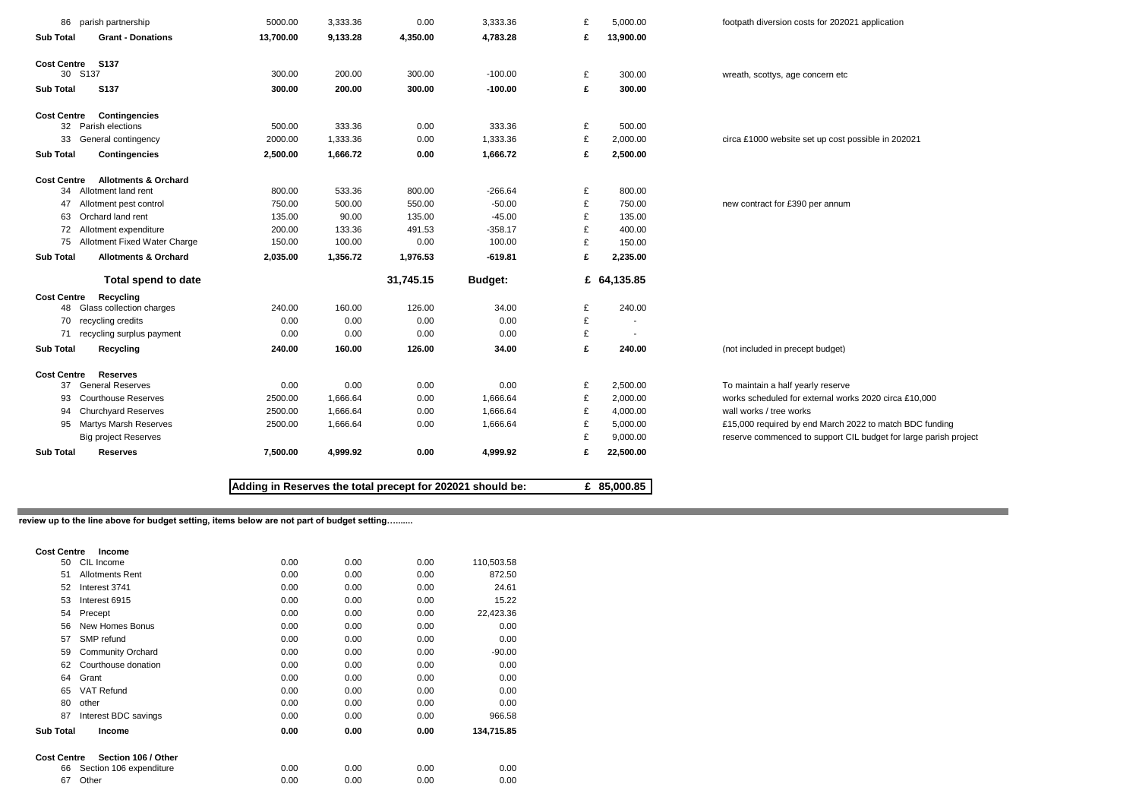| <b>Sub Total</b><br>Cost Centre S137 | <b>Grant - Donations</b>        | 13,700.00 |          |           |           |   |                          |                                                                  |
|--------------------------------------|---------------------------------|-----------|----------|-----------|-----------|---|--------------------------|------------------------------------------------------------------|
|                                      |                                 |           | 9,133.28 | 4,350.00  | 4,783.28  | £ | 13,900.00                |                                                                  |
|                                      |                                 |           |          |           |           |   |                          |                                                                  |
|                                      | 30 S137                         | 300.00    | 200.00   | 300.00    | $-100.00$ | £ | 300.00                   | wreath, scottys, age concern etc                                 |
| <b>Sub Total</b>                     | S137                            | 300.00    | 200.00   | 300.00    | $-100.00$ | £ | 300.00                   |                                                                  |
| <b>Cost Centre</b>                   | <b>Contingencies</b>            |           |          |           |           |   |                          |                                                                  |
|                                      | 32 Parish elections             | 500.00    | 333.36   | 0.00      | 333.36    | £ | 500.00                   |                                                                  |
| 33                                   | General contingency             | 2000.00   | 1,333.36 | 0.00      | 1,333.36  | £ | 2,000.00                 | circa £1000 website set up cost possible in 202021               |
| <b>Sub Total</b>                     | <b>Contingencies</b>            | 2,500.00  | 1,666.72 | 0.00      | 1,666.72  | £ | 2,500.00                 |                                                                  |
| <b>Cost Centre</b>                   | <b>Allotments &amp; Orchard</b> |           |          |           |           |   |                          |                                                                  |
|                                      | 34 Allotment land rent          | 800.00    | 533.36   | 800.00    | $-266.64$ | £ | 800.00                   |                                                                  |
| 47                                   | Allotment pest control          | 750.00    | 500.00   | 550.00    | $-50.00$  | £ | 750.00                   | new contract for £390 per annum                                  |
| 63                                   | Orchard land rent               | 135.00    | 90.00    | 135.00    | $-45.00$  | £ | 135.00                   |                                                                  |
| 72                                   | Allotment expenditure           | 200.00    | 133.36   | 491.53    | $-358.17$ | £ | 400.00                   |                                                                  |
| 75                                   | Allotment Fixed Water Charge    | 150.00    | 100.00   | 0.00      | 100.00    | £ | 150.00                   |                                                                  |
| <b>Sub Total</b>                     | <b>Allotments &amp; Orchard</b> | 2,035.00  | 1,356.72 | 1,976.53  | $-619.81$ | £ | 2,235.00                 |                                                                  |
|                                      | Total spend to date             |           |          | 31,745.15 | Budget:   |   | £ 64,135.85              |                                                                  |
| <b>Cost Centre</b>                   | Recycling                       |           |          |           |           |   |                          |                                                                  |
|                                      | 48 Glass collection charges     | 240.00    | 160.00   | 126.00    | 34.00     | £ | 240.00                   |                                                                  |
| 70                                   | recycling credits               | 0.00      | 0.00     | 0.00      | 0.00      | £ | $\blacksquare$           |                                                                  |
| 71                                   | recycling surplus payment       | 0.00      | 0.00     | 0.00      | 0.00      | £ | $\overline{\phantom{a}}$ |                                                                  |
| <b>Sub Total</b>                     | Recycling                       | 240.00    | 160.00   | 126.00    | 34.00     | £ | 240.00                   | (not included in precept budget)                                 |
| <b>Cost Centre</b>                   | <b>Reserves</b>                 |           |          |           |           |   |                          |                                                                  |
| 37                                   | <b>General Reserves</b>         | 0.00      | 0.00     | 0.00      | 0.00      | £ | 2,500.00                 | To maintain a half yearly reserve                                |
| 93                                   | <b>Courthouse Reserves</b>      | 2500.00   | 1,666.64 | 0.00      | 1,666.64  | £ | 2,000.00                 | works scheduled for external works 2020 circa £10,000            |
| 94                                   | <b>Churchyard Reserves</b>      | 2500.00   | 1,666.64 | 0.00      | 1,666.64  | £ | 4,000.00                 | wall works / tree works                                          |
| 95                                   | <b>Martys Marsh Reserves</b>    | 2500.00   | 1,666.64 | 0.00      | 1,666.64  | £ | 5,000.00                 | £15,000 required by end March 2022 to match BDC funding          |
|                                      | <b>Big project Reserves</b>     |           |          |           |           | £ | 9,000.00                 | reserve commenced to support CIL budget for large parish project |
| <b>Sub Total</b>                     | <b>Reserves</b>                 | 7,500.00  | 4,999.92 | 0.00      | 4,999.92  | £ | 22,500.00                |                                                                  |

 $\sim 10$ **review up to the line above for budget setting, items below are not part of budget setting….......**

| <b>Cost Centre</b> | Income                   |      |      |      |            |
|--------------------|--------------------------|------|------|------|------------|
| 50                 | CIL Income               | 0.00 | 0.00 | 0.00 | 110,503.58 |
| 51                 | <b>Allotments Rent</b>   | 0.00 | 0.00 | 0.00 | 872.50     |
| 52                 | Interest 3741            | 0.00 | 0.00 | 0.00 | 24.61      |
| 53                 | Interest 6915            | 0.00 | 0.00 | 0.00 | 15.22      |
| 54                 | Precept                  | 0.00 | 0.00 | 0.00 | 22,423.36  |
| 56                 | New Homes Bonus          | 0.00 | 0.00 | 0.00 | 0.00       |
| 57                 | SMP refund               | 0.00 | 0.00 | 0.00 | 0.00       |
| 59                 | <b>Community Orchard</b> | 0.00 | 0.00 | 0.00 | $-90.00$   |
| 62                 | Courthouse donation      | 0.00 | 0.00 | 0.00 | 0.00       |
| 64                 | Grant                    | 0.00 | 0.00 | 0.00 | 0.00       |
| 65                 | <b>VAT Refund</b>        | 0.00 | 0.00 | 0.00 | 0.00       |
| 80                 | other                    | 0.00 | 0.00 | 0.00 | 0.00       |
| 87                 | Interest BDC savings     | 0.00 | 0.00 | 0.00 | 966.58     |
| <b>Sub Total</b>   | Income                   | 0.00 | 0.00 | 0.00 | 134,715.85 |
| <b>Cost Centre</b> | Section 106 / Other      |      |      |      |            |
| 66                 | Section 106 expenditure  | 0.00 | 0.00 | 0.00 | 0.00       |
| 67                 | Other                    | 0.00 | 0.00 | 0.00 | 0.00       |